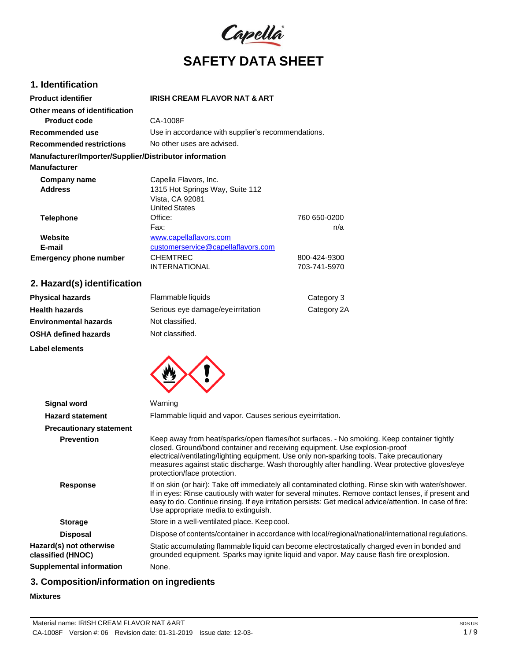

### **1. Identification**

| <b>Product identifier</b>                              | <b>IRISH CREAM FLAVOR NAT &amp; ART</b>            |              |
|--------------------------------------------------------|----------------------------------------------------|--------------|
| Other means of identification                          |                                                    |              |
| <b>Product code</b>                                    | CA-1008F                                           |              |
| Recommended use                                        | Use in accordance with supplier's recommendations. |              |
| Recommended restrictions                               | No other uses are advised.                         |              |
| Manufacturer/Importer/Supplier/Distributor information |                                                    |              |
| <b>Manufacturer</b>                                    |                                                    |              |
| Company name                                           | Capella Flavors, Inc.                              |              |
| <b>Address</b>                                         | 1315 Hot Springs Way, Suite 112                    |              |
|                                                        | Vista, CA 92081                                    |              |
|                                                        | <b>United States</b>                               |              |
| <b>Telephone</b>                                       | Office:                                            | 760 650-0200 |
|                                                        | Fax:                                               | n/a          |
| Website                                                | www.capellaflavors.com                             |              |
| E-mail                                                 | customerservice@capellaflavors.com                 |              |
| <b>Emergency phone number</b>                          | <b>CHEMTREC</b>                                    | 800-424-9300 |
|                                                        | <b>INTERNATIONAL</b>                               | 703-741-5970 |

# **2. Hazard(s) identification**

| <b>Physical hazards</b>      | Flammable liquids                 | Category 3  |
|------------------------------|-----------------------------------|-------------|
| <b>Health hazards</b>        | Serious eye damage/eye irritation | Category 2A |
| <b>Environmental hazards</b> | Not classified.                   |             |
| <b>OSHA defined hazards</b>  | Not classified.                   |             |
| Label elements               |                                   |             |



| <b>Signal word</b>                           | Warning                                                                                                                                                                                                                                                                                                                                                                                               |
|----------------------------------------------|-------------------------------------------------------------------------------------------------------------------------------------------------------------------------------------------------------------------------------------------------------------------------------------------------------------------------------------------------------------------------------------------------------|
| <b>Hazard statement</b>                      | Flammable liquid and vapor. Causes serious eveirritation.                                                                                                                                                                                                                                                                                                                                             |
| <b>Precautionary statement</b>               |                                                                                                                                                                                                                                                                                                                                                                                                       |
| <b>Prevention</b>                            | Keep away from heat/sparks/open flames/hot surfaces. - No smoking. Keep container tightly<br>closed. Ground/bond container and receiving equipment. Use explosion-proof<br>electrical/ventilating/lighting equipment. Use only non-sparking tools. Take precautionary<br>measures against static discharge. Wash thoroughly after handling. Wear protective gloves/eye<br>protection/face protection. |
| <b>Response</b>                              | If on skin (or hair): Take off immediately all contaminated clothing. Rinse skin with water/shower.<br>If in eyes: Rinse cautiously with water for several minutes. Remove contact lenses, if present and<br>easy to do. Continue rinsing. If eye irritation persists: Get medical advice/attention. In case of fire:<br>Use appropriate media to extinguish.                                         |
| <b>Storage</b>                               | Store in a well-ventilated place. Keep cool.                                                                                                                                                                                                                                                                                                                                                          |
| <b>Disposal</b>                              | Dispose of contents/container in accordance with local/regional/national/international regulations.                                                                                                                                                                                                                                                                                                   |
| Hazard(s) not otherwise<br>classified (HNOC) | Static accumulating flammable liquid can become electrostatically charged even in bonded and<br>grounded equipment. Sparks may ignite liquid and vapor. May cause flash fire orexplosion.                                                                                                                                                                                                             |
| <b>Supplemental information</b>              | None.                                                                                                                                                                                                                                                                                                                                                                                                 |

# **3. Composition/information on ingredients**

### **Mixtures**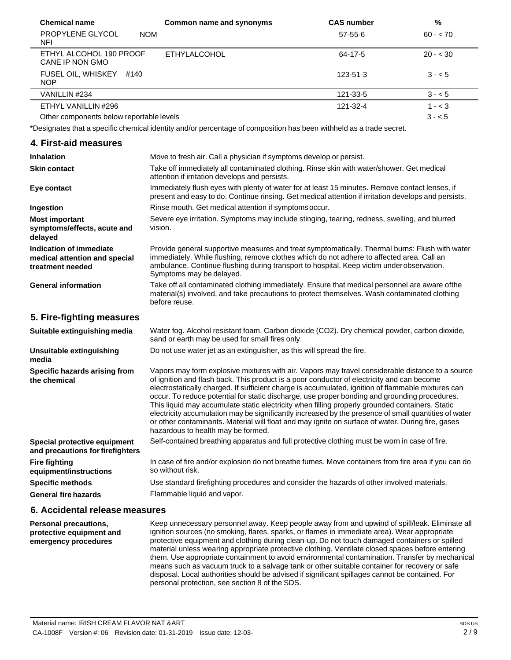| <b>Chemical name</b>                            | Common name and synonyms | <b>CAS number</b> | %         |  |
|-------------------------------------------------|--------------------------|-------------------|-----------|--|
| PROPYLENE GLYCOL<br><b>NOM</b><br>NFI           |                          | 57-55-6           | $60 - 70$ |  |
| ETHYL ALCOHOL 190 PROOF<br>CANE IP NON GMO      | <b>ETHYLALCOHOL</b>      | 64-17-5           | $20 - 30$ |  |
| <b>FUSEL OIL, WHISKEY</b><br>#140<br><b>NOP</b> |                          | $123 - 51 - 3$    | $3 - 5$   |  |
| VANILLIN #234                                   |                          | 121-33-5          | $3 - 5$   |  |
| ETHYL VANILLIN #296                             |                          | 121-32-4          | $1 - 3$   |  |
| Other components below reportable levels        |                          |                   | $3 - 5$   |  |

\*Designates that a specific chemical identity and/or percentage of composition has been withheld as a trade secret.

#### **4. First-aid measures**

| <b>Inhalation</b>                                                            | Move to fresh air. Call a physician if symptoms develop or persist.                                                                                                                                                                                                                                                                                                                                                                                                                                                                                                                                                                                                                                                                                         |
|------------------------------------------------------------------------------|-------------------------------------------------------------------------------------------------------------------------------------------------------------------------------------------------------------------------------------------------------------------------------------------------------------------------------------------------------------------------------------------------------------------------------------------------------------------------------------------------------------------------------------------------------------------------------------------------------------------------------------------------------------------------------------------------------------------------------------------------------------|
| <b>Skin contact</b>                                                          | Take off immediately all contaminated clothing. Rinse skin with water/shower. Get medical<br>attention if irritation develops and persists.                                                                                                                                                                                                                                                                                                                                                                                                                                                                                                                                                                                                                 |
| Eye contact                                                                  | Immediately flush eyes with plenty of water for at least 15 minutes. Remove contact lenses, if<br>present and easy to do. Continue rinsing. Get medical attention if irritation develops and persists.                                                                                                                                                                                                                                                                                                                                                                                                                                                                                                                                                      |
| Ingestion                                                                    | Rinse mouth. Get medical attention if symptoms occur.                                                                                                                                                                                                                                                                                                                                                                                                                                                                                                                                                                                                                                                                                                       |
| <b>Most important</b><br>symptoms/effects, acute and<br>delayed              | Severe eye irritation. Symptoms may include stinging, tearing, redness, swelling, and blurred<br>vision.                                                                                                                                                                                                                                                                                                                                                                                                                                                                                                                                                                                                                                                    |
| Indication of immediate<br>medical attention and special<br>treatment needed | Provide general supportive measures and treat symptomatically. Thermal burns: Flush with water<br>immediately. While flushing, remove clothes which do not adhere to affected area. Call an<br>ambulance. Continue flushing during transport to hospital. Keep victim under observation.<br>Symptoms may be delayed.                                                                                                                                                                                                                                                                                                                                                                                                                                        |
| <b>General information</b>                                                   | Take off all contaminated clothing immediately. Ensure that medical personnel are aware of the<br>material(s) involved, and take precautions to protect themselves. Wash contaminated clothing<br>before reuse.                                                                                                                                                                                                                                                                                                                                                                                                                                                                                                                                             |
| 5. Fire-fighting measures                                                    |                                                                                                                                                                                                                                                                                                                                                                                                                                                                                                                                                                                                                                                                                                                                                             |
| Suitable extinguishing media                                                 | Water fog. Alcohol resistant foam. Carbon dioxide (CO2). Dry chemical powder, carbon dioxide,<br>sand or earth may be used for small fires only.                                                                                                                                                                                                                                                                                                                                                                                                                                                                                                                                                                                                            |
| <b>Unsuitable extinguishing</b><br>media                                     | Do not use water jet as an extinguisher, as this will spread the fire.                                                                                                                                                                                                                                                                                                                                                                                                                                                                                                                                                                                                                                                                                      |
| Specific hazards arising from<br>the chemical                                | Vapors may form explosive mixtures with air. Vapors may travel considerable distance to a source<br>of ignition and flash back. This product is a poor conductor of electricity and can become<br>electrostatically charged. If sufficient charge is accumulated, ignition of flammable mixtures can<br>occur. To reduce potential for static discharge, use proper bonding and grounding procedures.<br>This liquid may accumulate static electricity when filling properly grounded containers. Static<br>electricity accumulation may be significantly increased by the presence of small quantities of water<br>or other contaminants. Material will float and may ignite on surface of water. During fire, gases<br>hazardous to health may be formed. |
| Special protective equipment<br>and precautions for firefighters             | Self-contained breathing apparatus and full protective clothing must be worn in case of fire.                                                                                                                                                                                                                                                                                                                                                                                                                                                                                                                                                                                                                                                               |
| <b>Fire fighting</b><br>equipment/instructions                               | In case of fire and/or explosion do not breathe fumes. Move containers from fire area if you can do<br>so without risk.                                                                                                                                                                                                                                                                                                                                                                                                                                                                                                                                                                                                                                     |
| <b>Specific methods</b>                                                      | Use standard firefighting procedures and consider the hazards of other involved materials.                                                                                                                                                                                                                                                                                                                                                                                                                                                                                                                                                                                                                                                                  |
| <b>General fire hazards</b>                                                  | Flammable liquid and vapor.                                                                                                                                                                                                                                                                                                                                                                                                                                                                                                                                                                                                                                                                                                                                 |
|                                                                              |                                                                                                                                                                                                                                                                                                                                                                                                                                                                                                                                                                                                                                                                                                                                                             |

#### **6. Accidental release measures**

**Personal precautions, protective equipment and emergency procedures** Keep unnecessary personnel away. Keep people away from and upwind of spill/leak. Eliminate all ignition sources (no smoking, flares, sparks, or flames in immediate area). Wear appropriate protective equipment and clothing during clean-up. Do not touch damaged containers or spilled material unless wearing appropriate protective clothing. Ventilate closed spaces before entering them. Use appropriate containment to avoid environmental contamination. Transfer by mechanical means such as vacuum truck to a salvage tank or other suitable container for recovery or safe disposal. Local authorities should be advised if significant spillages cannot be contained. For personal protection, see section 8 of the SDS.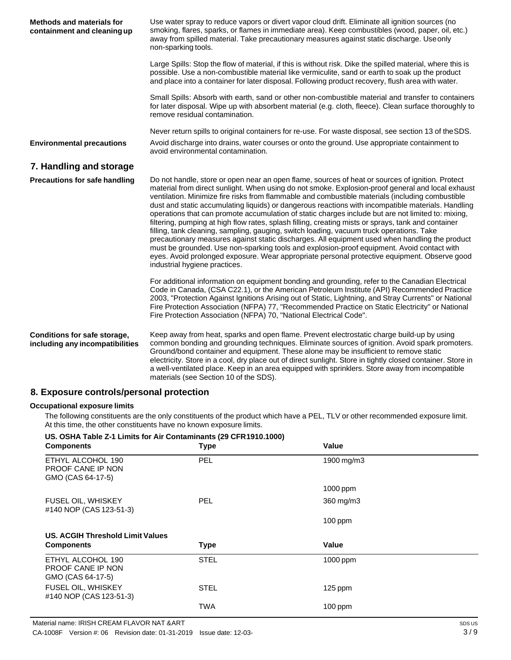| <b>Methods and materials for</b><br>containment and cleaning up | Use water spray to reduce vapors or divert vapor cloud drift. Eliminate all ignition sources (no<br>smoking, flares, sparks, or flames in immediate area). Keep combustibles (wood, paper, oil, etc.)<br>away from spilled material. Take precautionary measures against static discharge. Use only<br>non-sparking tools.                                                                                                                                                                                                                                                                                                                                                                                                                                                                                                                                                                                                                                                                                                                                |
|-----------------------------------------------------------------|-----------------------------------------------------------------------------------------------------------------------------------------------------------------------------------------------------------------------------------------------------------------------------------------------------------------------------------------------------------------------------------------------------------------------------------------------------------------------------------------------------------------------------------------------------------------------------------------------------------------------------------------------------------------------------------------------------------------------------------------------------------------------------------------------------------------------------------------------------------------------------------------------------------------------------------------------------------------------------------------------------------------------------------------------------------|
|                                                                 | Large Spills: Stop the flow of material, if this is without risk. Dike the spilled material, where this is<br>possible. Use a non-combustible material like vermiculite, sand or earth to soak up the product<br>and place into a container for later disposal. Following product recovery, flush area with water.                                                                                                                                                                                                                                                                                                                                                                                                                                                                                                                                                                                                                                                                                                                                        |
|                                                                 | Small Spills: Absorb with earth, sand or other non-combustible material and transfer to containers<br>for later disposal. Wipe up with absorbent material (e.g. cloth, fleece). Clean surface thoroughly to<br>remove residual contamination.                                                                                                                                                                                                                                                                                                                                                                                                                                                                                                                                                                                                                                                                                                                                                                                                             |
|                                                                 | Never return spills to original containers for re-use. For waste disposal, see section 13 of the SDS.                                                                                                                                                                                                                                                                                                                                                                                                                                                                                                                                                                                                                                                                                                                                                                                                                                                                                                                                                     |
| <b>Environmental precautions</b>                                | Avoid discharge into drains, water courses or onto the ground. Use appropriate containment to<br>avoid environmental contamination.                                                                                                                                                                                                                                                                                                                                                                                                                                                                                                                                                                                                                                                                                                                                                                                                                                                                                                                       |
| 7. Handling and storage                                         |                                                                                                                                                                                                                                                                                                                                                                                                                                                                                                                                                                                                                                                                                                                                                                                                                                                                                                                                                                                                                                                           |
| <b>Precautions for safe handling</b>                            | Do not handle, store or open near an open flame, sources of heat or sources of ignition. Protect<br>material from direct sunlight. When using do not smoke. Explosion-proof general and local exhaust<br>ventilation. Minimize fire risks from flammable and combustible materials (including combustible<br>dust and static accumulating liquids) or dangerous reactions with incompatible materials. Handling<br>operations that can promote accumulation of static charges include but are not limited to: mixing,<br>filtering, pumping at high flow rates, splash filling, creating mists or sprays, tank and container<br>filling, tank cleaning, sampling, gauging, switch loading, vacuum truck operations. Take<br>precautionary measures against static discharges. All equipment used when handling the product<br>must be grounded. Use non-sparking tools and explosion-proof equipment. Avoid contact with<br>eyes. Avoid prolonged exposure. Wear appropriate personal protective equipment. Observe good<br>industrial hygiene practices. |
|                                                                 | For additional information on equipment bonding and grounding, refer to the Canadian Electrical<br>Code in Canada, (CSA C22.1), or the American Petroleum Institute (API) Recommended Practice<br>2003, "Protection Against Ignitions Arising out of Static, Lightning, and Stray Currents" or National<br>Fire Protection Association (NFPA) 77, "Recommended Practice on Static Electricity" or National<br>Fire Protection Association (NFPA) 70, "National Electrical Code".                                                                                                                                                                                                                                                                                                                                                                                                                                                                                                                                                                          |
| Conditions for safe storage,<br>including any incompatibilities | Keep away from heat, sparks and open flame. Prevent electrostatic charge build-up by using<br>common bonding and grounding techniques. Eliminate sources of ignition. Avoid spark promoters.<br>Ground/bond container and equipment. These alone may be insufficient to remove static<br>electricity. Store in a cool, dry place out of direct sunlight. Store in tightly closed container. Store in<br>a well-ventilated place. Keep in an area equipped with sprinklers. Store away from incompatible                                                                                                                                                                                                                                                                                                                                                                                                                                                                                                                                                   |

# **8. Exposure controls/personal protection**

#### **Occupational exposure limits**

The following constituents are the only constituents of the product which have a PEL, TLV or other recommended exposure limit. At this time, the other constituents have no known exposure limits.

materials (see Section 10 of the SDS).

| US. OSHA Table 2-1 Limits for Air Contaminants (29 CFR 1910.1000)<br><b>Components</b> | <b>Type</b> | Value      |
|----------------------------------------------------------------------------------------|-------------|------------|
| ETHYL ALCOHOL 190<br><b>PROOF CANE IP NON</b><br>GMO (CAS 64-17-5)                     | <b>PEL</b>  | 1900 mg/m3 |
|                                                                                        |             | 1000 ppm   |
| <b>FUSEL OIL, WHISKEY</b><br>#140 NOP (CAS 123-51-3)                                   | <b>PEL</b>  | 360 mg/m3  |
|                                                                                        |             | $100$ ppm  |
| US. ACGIH Threshold Limit Values                                                       |             |            |
| <b>Components</b>                                                                      | <b>Type</b> | Value      |
| ETHYL ALCOHOL 190<br><b>PROOF CANE IP NON</b><br>GMO (CAS 64-17-5)                     | <b>STEL</b> | 1000 ppm   |
| <b>FUSEL OIL, WHISKEY</b><br>#140 NOP (CAS 123-51-3)                                   | <b>STEL</b> | $125$ ppm  |
|                                                                                        | TWA         | $100$ ppm  |

# **US. OSHA Table Z-1 Limits for Air Contaminants (29 CFR1910.1000)**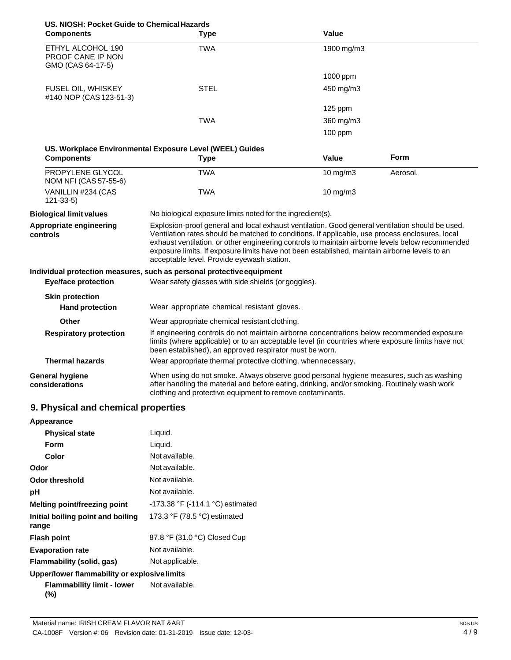| US. NIOSH: Pocket Guide to Chemical Hazards<br><b>Components</b> | <b>Type</b>                                                                                                                                                                                                                                                                                                                                                                                                                                           | Value         |          |
|------------------------------------------------------------------|-------------------------------------------------------------------------------------------------------------------------------------------------------------------------------------------------------------------------------------------------------------------------------------------------------------------------------------------------------------------------------------------------------------------------------------------------------|---------------|----------|
| ETHYL ALCOHOL 190<br>PROOF CANE IP NON<br>GMO (CAS 64-17-5)      | <b>TWA</b>                                                                                                                                                                                                                                                                                                                                                                                                                                            | 1900 mg/m3    |          |
|                                                                  |                                                                                                                                                                                                                                                                                                                                                                                                                                                       | 1000 ppm      |          |
| FUSEL OIL, WHISKEY<br>#140 NOP (CAS 123-51-3)                    | <b>STEL</b>                                                                                                                                                                                                                                                                                                                                                                                                                                           | 450 mg/m3     |          |
|                                                                  |                                                                                                                                                                                                                                                                                                                                                                                                                                                       | $125$ ppm     |          |
|                                                                  | <b>TWA</b>                                                                                                                                                                                                                                                                                                                                                                                                                                            | 360 mg/m3     |          |
|                                                                  |                                                                                                                                                                                                                                                                                                                                                                                                                                                       | $100$ ppm     |          |
|                                                                  | US. Workplace Environmental Exposure Level (WEEL) Guides                                                                                                                                                                                                                                                                                                                                                                                              |               |          |
| <b>Components</b>                                                | <b>Type</b>                                                                                                                                                                                                                                                                                                                                                                                                                                           | Value         | Form     |
| PROPYLENE GLYCOL<br>NOM NFI (CAS 57-55-6)                        | <b>TWA</b>                                                                                                                                                                                                                                                                                                                                                                                                                                            | 10 mg/m3      | Aerosol. |
| VANILLIN #234 (CAS<br>$121 - 33 - 5$                             | <b>TWA</b>                                                                                                                                                                                                                                                                                                                                                                                                                                            | $10$ mg/m $3$ |          |
| <b>Biological limit values</b>                                   | No biological exposure limits noted for the ingredient(s).                                                                                                                                                                                                                                                                                                                                                                                            |               |          |
| Appropriate engineering<br>controls                              | Explosion-proof general and local exhaust ventilation. Good general ventilation should be used.<br>Ventilation rates should be matched to conditions. If applicable, use process enclosures, local<br>exhaust ventilation, or other engineering controls to maintain airborne levels below recommended<br>exposure limits. If exposure limits have not been established, maintain airborne levels to an<br>acceptable level. Provide eyewash station. |               |          |
|                                                                  | Individual protection measures, such as personal protective equipment                                                                                                                                                                                                                                                                                                                                                                                 |               |          |
| <b>Eye/face protection</b>                                       | Wear safety glasses with side shields (or goggles).                                                                                                                                                                                                                                                                                                                                                                                                   |               |          |
| <b>Skin protection</b><br><b>Hand protection</b>                 | Wear appropriate chemical resistant gloves.                                                                                                                                                                                                                                                                                                                                                                                                           |               |          |
| Other                                                            | Wear appropriate chemical resistant clothing.                                                                                                                                                                                                                                                                                                                                                                                                         |               |          |
| <b>Respiratory protection</b>                                    | If engineering controls do not maintain airborne concentrations below recommended exposure<br>limits (where applicable) or to an acceptable level (in countries where exposure limits have not<br>been established), an approved respirator must be worn.                                                                                                                                                                                             |               |          |
| <b>Thermal hazards</b>                                           | Wear appropriate thermal protective clothing, whennecessary.                                                                                                                                                                                                                                                                                                                                                                                          |               |          |
| <b>General hygiene</b><br>considerations                         | When using do not smoke. Always observe good personal hygiene measures, such as washing<br>after handling the material and before eating, drinking, and/or smoking. Routinely wash work<br>clothing and protective equipment to remove contaminants.                                                                                                                                                                                                  |               |          |

# **9. Physical and chemical properties**

| Appearance                                   |                                  |
|----------------------------------------------|----------------------------------|
| <b>Physical state</b>                        | Liquid.                          |
| <b>Form</b>                                  | Liquid.                          |
| Color                                        | Not available.                   |
| Odor                                         | Not available.                   |
| <b>Odor threshold</b>                        | Not available.                   |
| рH                                           | Not available.                   |
| Melting point/freezing point                 | -173.38 °F (-114.1 °C) estimated |
| Initial boiling point and boiling<br>range   | 173.3 °F (78.5 °C) estimated     |
| <b>Flash point</b>                           | 87.8 °F (31.0 °C) Closed Cup     |
| <b>Evaporation rate</b>                      | Not available.                   |
| Flammability (solid, gas)                    | Not applicable.                  |
| Upper/lower flammability or explosive limits |                                  |
| Flammability limit - lower<br>(%)            | Not available.                   |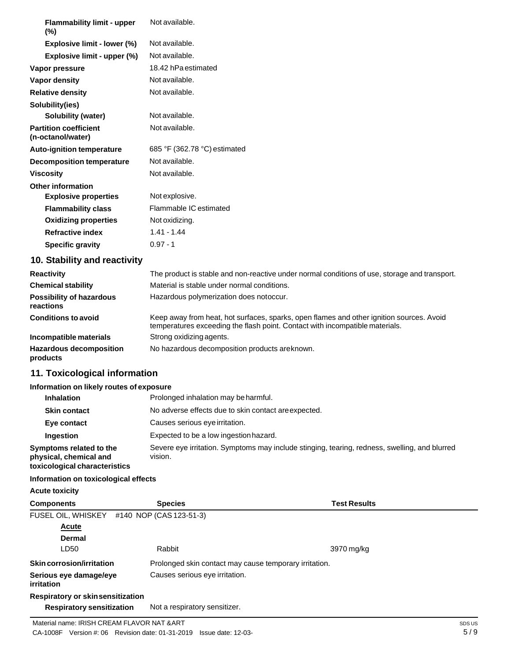| <b>Flammability limit - upper</b><br>$(\%)$       | Not available.               |
|---------------------------------------------------|------------------------------|
| Explosive limit - lower (%)                       | Not available.               |
| Explosive limit - upper (%)                       | Not available.               |
| Vapor pressure                                    | 18.42 hPa estimated          |
| <b>Vapor density</b>                              | Not available.               |
| <b>Relative density</b>                           | Not available.               |
| Solubility(ies)                                   |                              |
| <b>Solubility (water)</b>                         | Not available.               |
| <b>Partition coefficient</b><br>(n-octanol/water) | Not available.               |
| <b>Auto-ignition temperature</b>                  | 685 °F (362.78 °C) estimated |
| Decomposition temperature                         | Not available.               |
| <b>Viscosity</b>                                  | Not available.               |
| <b>Other information</b>                          |                              |
| <b>Explosive properties</b>                       | Not explosive.               |
| <b>Flammability class</b>                         | Flammable IC estimated       |
| <b>Oxidizing properties</b>                       | Not oxidizing.               |
| <b>Refractive index</b>                           | $1.41 - 1.44$                |
| <b>Specific gravity</b>                           | $0.97 - 1$                   |

# **10. Stability and reactivity**

| <b>Reactivity</b>                            | The product is stable and non-reactive under normal conditions of use, storage and transport.                                                                            |
|----------------------------------------------|--------------------------------------------------------------------------------------------------------------------------------------------------------------------------|
| <b>Chemical stability</b>                    | Material is stable under normal conditions.                                                                                                                              |
| <b>Possibility of hazardous</b><br>reactions | Hazardous polymerization does notoccur.                                                                                                                                  |
| <b>Conditions to avoid</b>                   | Keep away from heat, hot surfaces, sparks, open flames and other ignition sources. Avoid<br>temperatures exceeding the flash point. Contact with incompatible materials. |
| Incompatible materials                       | Strong oxidizing agents.                                                                                                                                                 |
| <b>Hazardous decomposition</b><br>products   | No hazardous decomposition products areknown.                                                                                                                            |

# **11. Toxicological information**

#### **Information on likely routes of exposure**

| <b>Inhalation</b>                                                                  | Prolonged inhalation may be harmful.                                                                     |
|------------------------------------------------------------------------------------|----------------------------------------------------------------------------------------------------------|
| <b>Skin contact</b>                                                                | No adverse effects due to skin contact are expected.                                                     |
| Eye contact                                                                        | Causes serious eye irritation.                                                                           |
| Ingestion                                                                          | Expected to be a low ingestion hazard.                                                                   |
| Symptoms related to the<br>physical, chemical and<br>toxicological characteristics | Severe eye irritation. Symptoms may include stinging, tearing, redness, swelling, and blurred<br>vision. |

# **Information on toxicological effects**

**Acute toxicity**

| <b>Components</b>                           | <b>Species</b>                                         | <b>Test Results</b> |
|---------------------------------------------|--------------------------------------------------------|---------------------|
| FUSEL OIL, WHISKEY                          | #140 NOP (CAS 123-51-3)                                |                     |
| Acute                                       |                                                        |                     |
| <b>Dermal</b>                               |                                                        |                     |
| LD50                                        | Rabbit                                                 | 3970 mg/kg          |
| <b>Skin corrosion/irritation</b>            | Prolonged skin contact may cause temporary irritation. |                     |
| Serious eye damage/eye<br><i>irritation</i> | Causes serious eye irritation.                         |                     |
| <b>Respiratory or skinsensitization</b>     |                                                        |                     |
| <b>Respiratory sensitization</b>            | Not a respiratory sensitizer.                          |                     |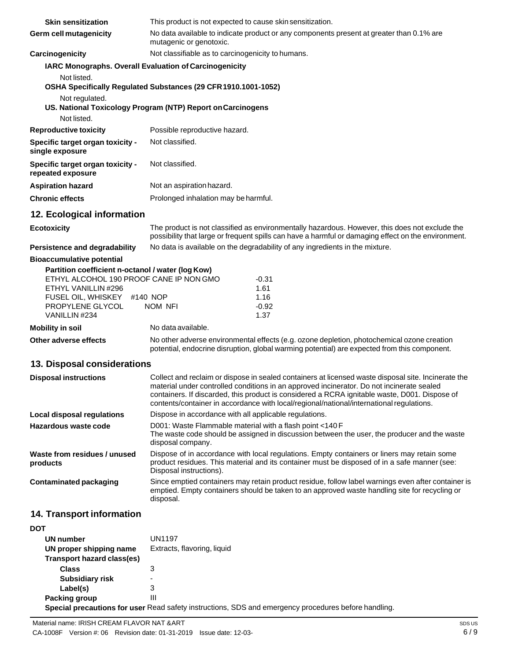| <b>Skin sensitization</b>                                    | This product is not expected to cause skin sensitization.                                                                                                                                                                                                                                                                                                                                     |  |  |
|--------------------------------------------------------------|-----------------------------------------------------------------------------------------------------------------------------------------------------------------------------------------------------------------------------------------------------------------------------------------------------------------------------------------------------------------------------------------------|--|--|
| <b>Germ cell mutagenicity</b>                                | No data available to indicate product or any components present at greater than 0.1% are<br>mutagenic or genotoxic.                                                                                                                                                                                                                                                                           |  |  |
| <b>Carcinogenicity</b>                                       | Not classifiable as to carcinogenicity to humans.                                                                                                                                                                                                                                                                                                                                             |  |  |
| IARC Monographs. Overall Evaluation of Carcinogenicity       |                                                                                                                                                                                                                                                                                                                                                                                               |  |  |
| Not listed.                                                  |                                                                                                                                                                                                                                                                                                                                                                                               |  |  |
|                                                              | OSHA Specifically Regulated Substances (29 CFR 1910.1001-1052)                                                                                                                                                                                                                                                                                                                                |  |  |
| Not regulated.                                               |                                                                                                                                                                                                                                                                                                                                                                                               |  |  |
|                                                              | US. National Toxicology Program (NTP) Report on Carcinogens                                                                                                                                                                                                                                                                                                                                   |  |  |
| Not listed.                                                  |                                                                                                                                                                                                                                                                                                                                                                                               |  |  |
| <b>Reproductive toxicity</b>                                 | Possible reproductive hazard.                                                                                                                                                                                                                                                                                                                                                                 |  |  |
| Specific target organ toxicity -<br>single exposure          | Not classified.                                                                                                                                                                                                                                                                                                                                                                               |  |  |
| <b>Specific target organ toxicity -</b><br>repeated exposure | Not classified.                                                                                                                                                                                                                                                                                                                                                                               |  |  |
| <b>Aspiration hazard</b>                                     | Not an aspiration hazard.                                                                                                                                                                                                                                                                                                                                                                     |  |  |
| <b>Chronic effects</b>                                       | Prolonged inhalation may be harmful.                                                                                                                                                                                                                                                                                                                                                          |  |  |
| 12. Ecological information                                   |                                                                                                                                                                                                                                                                                                                                                                                               |  |  |
| <b>Ecotoxicity</b>                                           | The product is not classified as environmentally hazardous. However, this does not exclude the<br>possibility that large or frequent spills can have a harmful or damaging effect on the environment.                                                                                                                                                                                         |  |  |
| <b>Persistence and degradability</b>                         | No data is available on the degradability of any ingredients in the mixture.                                                                                                                                                                                                                                                                                                                  |  |  |
| <b>Bioaccumulative potential</b>                             |                                                                                                                                                                                                                                                                                                                                                                                               |  |  |
| Partition coefficient n-octanol / water (log Kow)            |                                                                                                                                                                                                                                                                                                                                                                                               |  |  |
| ETHYL ALCOHOL 190 PROOF CANE IP NON GMO                      | $-0.31$                                                                                                                                                                                                                                                                                                                                                                                       |  |  |
| ETHYL VANILLIN #296<br>FUSEL OIL, WHISKEY #140 NOP           | 1.61<br>1.16                                                                                                                                                                                                                                                                                                                                                                                  |  |  |
| PROPYLENE GLYCOL                                             | $-0.92$<br>NOM NFI                                                                                                                                                                                                                                                                                                                                                                            |  |  |
| VANILLIN #234                                                | 1.37                                                                                                                                                                                                                                                                                                                                                                                          |  |  |
| <b>Mobility in soil</b>                                      | No data available.                                                                                                                                                                                                                                                                                                                                                                            |  |  |
| Other adverse effects                                        | No other adverse environmental effects (e.g. ozone depletion, photochemical ozone creation<br>potential, endocrine disruption, global warming potential) are expected from this component.                                                                                                                                                                                                    |  |  |
| 13. Disposal considerations                                  |                                                                                                                                                                                                                                                                                                                                                                                               |  |  |
| <b>Disposal instructions</b>                                 | Collect and reclaim or dispose in sealed containers at licensed waste disposal site. Incinerate the<br>material under controlled conditions in an approved incinerator. Do not incinerate sealed<br>containers. If discarded, this product is considered a RCRA ignitable waste, D001. Dispose of<br>contents/container in accordance with local/regional/national/international regulations. |  |  |
| Local disposal regulations                                   | Dispose in accordance with all applicable regulations.                                                                                                                                                                                                                                                                                                                                        |  |  |
| Hazardous waste code                                         | D001: Waste Flammable material with a flash point <140 F<br>The waste code should be assigned in discussion between the user, the producer and the waste<br>disposal company.                                                                                                                                                                                                                 |  |  |

**Waste from residues / unused products** Dispose of in accordance with local regulations. Empty containers or liners may retain some

**Contaminated packaging** Since emptied containers may retain product residue, follow label warnings even after container is emptied. Empty containers should be taken to an approved waste handling site for recycling or disposal.

Disposal instructions).

### **14. Transport information**

| <b>DOT</b>                 |                                                                                                      |  |  |
|----------------------------|------------------------------------------------------------------------------------------------------|--|--|
| UN number                  | UN1197                                                                                               |  |  |
| UN proper shipping name    | Extracts, flavoring, liquid                                                                          |  |  |
| Transport hazard class(es) |                                                                                                      |  |  |
| <b>Class</b>               | 3                                                                                                    |  |  |
| <b>Subsidiary risk</b>     | -                                                                                                    |  |  |
| Label(s)                   | 3                                                                                                    |  |  |
| Packing group              | Ш                                                                                                    |  |  |
|                            | Special precautions for user Read safety instructions, SDS and emergency procedures before handling. |  |  |

product residues. This material and its container must be disposed of in a safe manner (see: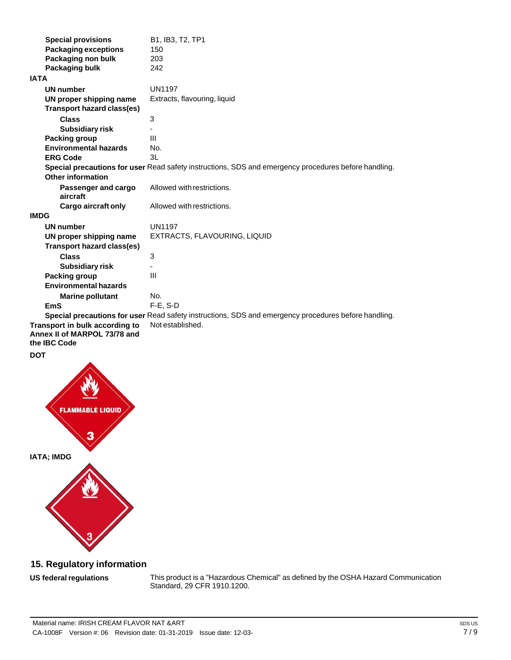| <b>Special provisions</b>                                                      | B1, IB3, T2, TP1                                                                                     |
|--------------------------------------------------------------------------------|------------------------------------------------------------------------------------------------------|
| <b>Packaging exceptions</b>                                                    | 150                                                                                                  |
| Packaging non bulk                                                             | 203                                                                                                  |
| Packaging bulk                                                                 | 242                                                                                                  |
| IATA                                                                           |                                                                                                      |
| <b>UN number</b>                                                               | <b>UN1197</b>                                                                                        |
| UN proper shipping name                                                        | Extracts, flavouring, liquid                                                                         |
| <b>Transport hazard class(es)</b>                                              |                                                                                                      |
| <b>Class</b>                                                                   | 3                                                                                                    |
| <b>Subsidiary risk</b>                                                         |                                                                                                      |
| Packing group                                                                  | $\mathbf{III}$                                                                                       |
| <b>Environmental hazards</b>                                                   | No.                                                                                                  |
| <b>ERG Code</b>                                                                | 3L                                                                                                   |
|                                                                                | Special precautions for user Read safety instructions, SDS and emergency procedures before handling. |
| <b>Other information</b>                                                       |                                                                                                      |
| Passenger and cargo<br>aircraft                                                | Allowed with restrictions.                                                                           |
| Cargo aircraft only                                                            | Allowed with restrictions.                                                                           |
| <b>IMDG</b>                                                                    |                                                                                                      |
| <b>UN number</b>                                                               | <b>UN1197</b>                                                                                        |
| UN proper shipping name                                                        | EXTRACTS, FLAVOURING, LIQUID                                                                         |
| Transport hazard class(es)                                                     |                                                                                                      |
| <b>Class</b>                                                                   | 3                                                                                                    |
| <b>Subsidiary risk</b>                                                         |                                                                                                      |
| Packing group                                                                  | III                                                                                                  |
| <b>Environmental hazards</b>                                                   |                                                                                                      |
| <b>Marine pollutant</b>                                                        | No.                                                                                                  |
| <b>EmS</b>                                                                     | $F-E. S-D$                                                                                           |
|                                                                                | Special precautions for user Read safety instructions, SDS and emergency procedures before handling. |
| Transport in bulk according to<br>Annex II of MARPOL 73/78 and<br>the IBC Code | Not established.                                                                                     |
|                                                                                |                                                                                                      |



# **15. Regulatory information**

### **US** federal regulations

This product is a "Hazardous Chemical" as defined by the OSHA Hazard Communication Standard, 29 CFR 1910.1200.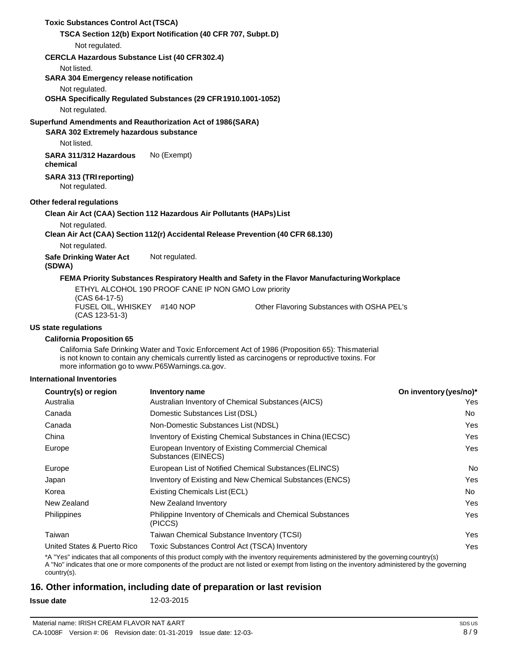| <b>Toxic Substances Control Act (TSCA)</b>                                                                  |                                                               |                                                                                                                                                                                                      |                        |
|-------------------------------------------------------------------------------------------------------------|---------------------------------------------------------------|------------------------------------------------------------------------------------------------------------------------------------------------------------------------------------------------------|------------------------|
|                                                                                                             | TSCA Section 12(b) Export Notification (40 CFR 707, Subpt. D) |                                                                                                                                                                                                      |                        |
| Not regulated.                                                                                              |                                                               |                                                                                                                                                                                                      |                        |
| <b>CERCLA Hazardous Substance List (40 CFR 302.4)</b>                                                       |                                                               |                                                                                                                                                                                                      |                        |
| Not listed.                                                                                                 |                                                               |                                                                                                                                                                                                      |                        |
| <b>SARA 304 Emergency release notification</b>                                                              |                                                               |                                                                                                                                                                                                      |                        |
| Not regulated.<br>OSHA Specifically Regulated Substances (29 CFR 1910.1001-1052)                            |                                                               |                                                                                                                                                                                                      |                        |
| Not regulated.                                                                                              |                                                               |                                                                                                                                                                                                      |                        |
| Superfund Amendments and Reauthorization Act of 1986(SARA)<br><b>SARA 302 Extremely hazardous substance</b> |                                                               |                                                                                                                                                                                                      |                        |
| Not listed.                                                                                                 |                                                               |                                                                                                                                                                                                      |                        |
| SARA 311/312 Hazardous<br>chemical                                                                          | No (Exempt)                                                   |                                                                                                                                                                                                      |                        |
| <b>SARA 313 (TRI reporting)</b><br>Not regulated.                                                           |                                                               |                                                                                                                                                                                                      |                        |
| Other federal regulations                                                                                   |                                                               |                                                                                                                                                                                                      |                        |
| Clean Air Act (CAA) Section 112 Hazardous Air Pollutants (HAPs) List                                        |                                                               |                                                                                                                                                                                                      |                        |
| Not regulated.                                                                                              |                                                               |                                                                                                                                                                                                      |                        |
|                                                                                                             |                                                               | Clean Air Act (CAA) Section 112(r) Accidental Release Prevention (40 CFR 68.130)                                                                                                                     |                        |
| Not regulated.                                                                                              |                                                               |                                                                                                                                                                                                      |                        |
| <b>Safe Drinking Water Act</b><br>(SDWA)                                                                    | Not regulated.                                                |                                                                                                                                                                                                      |                        |
|                                                                                                             |                                                               | FEMA Priority Substances Respiratory Health and Safety in the Flavor Manufacturing Workplace                                                                                                         |                        |
| $(CAS 64-17-5)$                                                                                             |                                                               | ETHYL ALCOHOL 190 PROOF CANE IP NON GMO Low priority                                                                                                                                                 |                        |
| FUSEL OIL, WHISKEY #140 NOP<br>$(CAS 123-51-3)$                                                             |                                                               | Other Flavoring Substances with OSHA PEL's                                                                                                                                                           |                        |
| US state regulations                                                                                        |                                                               |                                                                                                                                                                                                      |                        |
| <b>California Proposition 65</b>                                                                            |                                                               |                                                                                                                                                                                                      |                        |
|                                                                                                             | more information go to www.P65Warnings.ca.gov.                | California Safe Drinking Water and Toxic Enforcement Act of 1986 (Proposition 65): Thismaterial<br>is not known to contain any chemicals currently listed as carcinogens or reproductive toxins. For |                        |
| <b>International Inventories</b>                                                                            |                                                               |                                                                                                                                                                                                      |                        |
| Country(s) or region                                                                                        | <b>Inventory name</b>                                         |                                                                                                                                                                                                      | On inventory (yes/no)* |
| Australia                                                                                                   |                                                               | Australian Inventory of Chemical Substances (AICS)                                                                                                                                                   | Yes                    |
| Canada                                                                                                      | Domestic Substances List (DSL)                                |                                                                                                                                                                                                      | No                     |
| Canada                                                                                                      |                                                               | Non-Domestic Substances List (NDSL)<br>Yes                                                                                                                                                           |                        |
| China                                                                                                       |                                                               | Inventory of Existing Chemical Substances in China (IECSC)<br>Yes                                                                                                                                    |                        |
| Europe                                                                                                      | Substances (EINECS)                                           | European Inventory of Existing Commercial Chemical                                                                                                                                                   | Yes                    |
| Europe                                                                                                      |                                                               | European List of Notified Chemical Substances (ELINCS)                                                                                                                                               | No                     |
| Japan                                                                                                       |                                                               | Inventory of Existing and New Chemical Substances (ENCS)                                                                                                                                             | Yes                    |
| Korea                                                                                                       | Existing Chemicals List (ECL)                                 |                                                                                                                                                                                                      | No                     |
| New Zealand                                                                                                 |                                                               | New Zealand Inventory<br>Yes                                                                                                                                                                         |                        |
| Philippines                                                                                                 | (PICCS)                                                       | Philippine Inventory of Chemicals and Chemical Substances                                                                                                                                            | Yes                    |

United States & Puerto Rico Toxic Substances Control Act (TSCA) Inventory \*A "Yes" indicates that all components of this product comply with the inventory requirements administered by the governing country(s) Yes A "No" indicates that one or more components of the product are not listed or exempt from listing on the inventory administered by the governing country(s).

# **16. Other information, including date of preparation or last revision**

Taiwan Taiwan Chemical Substance Inventory (TCSI)

**Issue date** 12-03-2015

Yes